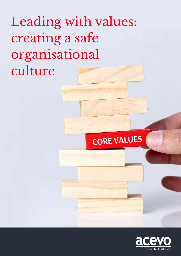Leading with values: creating a safe organisational culture

# **CORE VALUES**

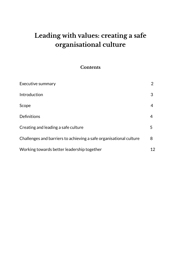## **Leading with values: creating a safe organisational culture**

## **Contents**

| Executive summary                                                  |    |
|--------------------------------------------------------------------|----|
| Introduction                                                       | 3  |
| Scope                                                              | 4  |
| Definitions                                                        | 4  |
| Creating and leading a safe culture                                | 5  |
| Challenges and barriers to achieving a safe organisational culture | 8  |
| Working towards better leadership together                         | 12 |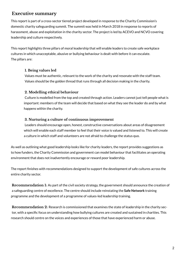### **Executive summary**

This report is part of a cross-sector tiered project developed in response to the Charity Commission's domestic charity safeguarding summit. The summit was held in March 2018 in response to reports of harassment, abuse and exploitation in the charity sector. The project is led by ACEVO and NCVO covering leadership and culture respectively.

This report highlights three pillars of moral leadership that will enable leaders to create safe workplace cultures in which unacceptable, abusive or bullying behaviour is dealt with before it can escalate. The pillars are:

#### **1. Being values led**

Values must be authentic, relevant to the work of the charity and resonate with the staff team. Values should be the golden thread that runs through all decision making in the charity.

#### **2. Modelling ethical behaviour**

Culture is modelled from the top and created through action. Leaders cannot just tell people what is important: members of the team will decide that based on what they see the leader do and by what happens within the charity.

#### **3. Nurturing a culture of continuous improvement**

Leaders should encourage open, honest, constructive conversations about areas of disagreement which will enable each staff member to feel that their voice is valued and listened to. This will create a culture in which staff and volunteers are not afraid to challenge the status quo.

As well as outlining what good leadership looks like for charity leaders, the report provides suggestions as to how funders, the Charity Commission and government can model behaviour that facilitates an operating environment that does not inadvertently encourage or reward poor leadership.

The report finishes with recommendations designed to support the development of safe cultures across the entire charity sector.

**Recommendation 1:** As part of the civil society strategy, the government should announce the creation of a safeguarding centre of excellence. The centre should include reinstating the **[Safe Network](https://www.nspcc.org.uk/what-we-do/news-opinion/safe-network-service-closes/)** training programme and the development of a programme of values-led leadership training.

**Recommendation 2:** Research is commissioned that examines the state of leadership in the charity sector, with a specific focus on understanding how bullying cultures are created and sustained in charities. This research should centre on the voices and experiences of those that have experienced harm or abuse.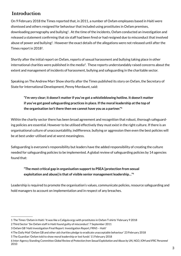## **Introduction**

On 9 February 2018 the Times reported that, in 2011, a number of Oxfam employees based in Haiti were dismissed and others resigned for behaviour that included using prostitutes in Oxfam premises, downloading pornography and bullying<sup>1</sup>. At the time of the incidents, Oxfam conducted an investigation and released a statement confirming that six staff had been fired or had resigned due to misconduct that involved abuse of power and bullying<sup>2</sup>. However the exact details of the allegations were not released until after the Times report in 20183.

Shortly after the initial report on Oxfam, reports of sexual harassment and bullying taking place in other international charities were published in the media<sup>4</sup>. These reports understandably raised concerns about the extent and management of incidents of harassment, bullying and safeguarding in the charitable sector.

Speaking on The Andrew Marr Show shortly after the Times published its story on Oxfam, the Secretary of State for International Development, Penny Mordaunt, said:

**"I'm very clear; it doesn't matter if you've got a whistleblowing hotline. It doesn't matter if you've got good safeguarding practices in place. If the moral leadership at the top of the organisation isn't there then we cannot have you as a partner."5**

Within the charity sector there has been broad agreement and recognition that robust, thorough safeguarding policies are essential. However to be utilised effectively they must exist in the right culture. If there is an organisational culture of unaccountability, indifference, bullying or aggression then even the best policies will be at best under-utilised and at worst meaningless.

Safeguarding is everyone's responsibility but leaders have the added responsibility of creating the culture needed for safeguarding policies to be implemented. A global review of safeguarding policies by 14 agencies found that:

#### **"The most critical gap in organisation support to PSEA [protection from sexual exploitation and abuse] is that of visible senior management leadership…"6**

Leadership is required to promote the organisation's values, communicate policies, resource safeguarding and hold managers to account on implementation and in respect of any breaches.

<sup>1</sup> The Times 'Oxfam in Haiti: 'It was like a Caligula orgy with prostitutes in Oxfam T-shirts' February 9 2018

<sup>2</sup> Third Sector 'Six Oxfam staff in Haiti found guilty of misconduct' 7 September 2011

<sup>3</sup> Oxfam GB 'Haiti investigation Final Report: Investigation Report, FRN5 – Haiti'

<sup>4</sup> The Daily Mail 'Oxfam GB and other aid charities pledge to eradicate unacceptable behaviour' 23 February 2018

<sup>5</sup> The Guardian 'Oxfam told to show moral leadership or lost funds' 11 February 2018

<sup>6</sup> Inter-Agency Standing Committee *Global Review of Protection from Sexual Exploitation and Abuse by UN, NGO, IOM and IFRC Personnel*  2010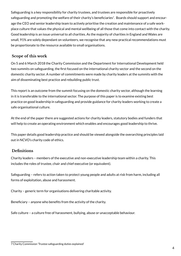Safeguarding is a key responsibility for charity trustees, and trustees are responsible for proactively safeguarding and promoting the welfare of their charity's beneficiaries<sup>7</sup>. Boards should support and encourage the CEO and senior leadership team to actively prioritise the creation and maintenance of a safe workplace culture that values the physical and mental wellbeing of all those that come into contact with the charity. Good leadership is an issue universal to all charities. As the majority of charities in England and Wales are small, 91% are solely dependant on volunteers, we recognise that any new practical recommendations must be proportionate to the resource available to small organisations.

#### **Scope of this work**

On 5 and 6 March 2018 the Charity Commission and the Department for International Development held two summits on safeguarding, the first focused on the international charity sector and the second on the domestic charity sector. A number of commitments were made by charity leaders at the summits with the aim of disseminating best practice and rebuilding public trust.

This report is an outcome from the summit focusing on the domestic charity sector, although the learning in it is transferable to the international sector. The purpose of this paper is to examine existing best practice on good leadership in safeguarding and provide guidance for charity leaders working to create a safe organisational culture.

At the end of the paper there are suggested actions for charity leaders, statutory bodies and funders that will help to create an operating environment which enables and encourages good leadership to thrive.

This paper details good leadership practice and should be viewed alongside the overarching principles laid out in NCVO's charity code of ethics.

#### **Definitions**

Charity leaders – members of the executive and non-executive leadership team within a charity. This includes the roles of trustee, chair and chief executive (or equivalent).

Safeguarding – refers to action taken to protect young people and adults at risk from harm, including all forms of exploitation, abuse and harassment.

Charity – generic term for organisations delivering charitable activity.

Beneficiary – anyone who benefits from the activity of the charity.

Safe culture – a culture free of harassment, bullying, abuse or unacceptable behaviour.

<sup>7</sup> Charity Commission 'Trustee safeguarding duties explained'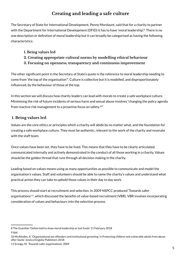## **Creating and leading a safe culture**

The Secretary of State for International Development, Penny Mordaunt, said that for a charity to partner with the Department for International Development (DFID) it has to have 'moral leadership'.<sup>8</sup> There is no one description or definition of moral leadership but it can broadly be categorised as having the following characteristics:

#### **1. Being values led**

- **2. Creating appropriate cultural norms by modelling ethical behaviour**
- **3. Focusing on openness, transparency and continuous improvement**

The other significant point in the Secretary of State's quote is the reference to moral leadership needing to come from 'the top of the organisation'9. Culture is collective but it is modelled, and disproportionately influenced, by the behaviour of those at the top.

In this section we will discuss how charity leaders can lead with morals to create a safe workplace culture. Minimising the risk of future incidents of serious harm and sexual abuse involves "changing the policy agenda from reactive risk management to a proactive focus on safety.10"

#### **1. Being values led**

Values are the core ethics or principles which a charity will abide by no matter what, and the foundation for creating a safe workplace culture. They must be authentic, relevant to the work of the charity and resonate with the staff team.

Once values have been set, they have to be lived. This means that they have to be clearly articulated, communicated internally and actively demonstrated in the conduct of all those working in a charity. Values should be the golden thread that runs through all decision making in the charity.

Leading based on values means using as many opportunities as possible to communicate and model the organisation's values. Staff and volunteers should be able to name the charity's values and understand what practical action they can take to uphold those values in their day to day work.

This process should start at recruitment and selection. In 2009 NSPCC produced 'Towards safer organisations'11, which discussed the benefits of value-based recruitment (VBR). VBR involves incorporating consideration of values and behaviours into the selection process.

<sup>8</sup> The Guardian 'Oxfam told to show moral leadership or lost funds' 11 February 2018 9 ibid

<sup>10</sup> McAlinden, A. 'Organisational sex offenders and institutional grooming' in Protecting children and vulnerable adults from abuse after Savile' Jessica Kingsley Publishers 2018

<sup>11</sup> Erooga, M. 'Towards safer organisations' 2009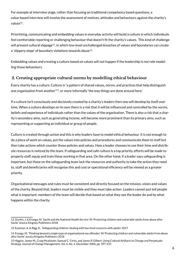For example at interview stage, rather than focusing on traditional competency based questions, a value-based interview will involve the assessment of motives, attitudes and behaviours against the charity's values<sup>12</sup>.

Prioritising, communicating and embedding values in everyday activity will build a culture in which individuals feel comfortable reporting or challenging behaviour that doesn't fit the charity's values. This kind of challenge will prevent cultural slippage<sup>13</sup>, in which low-level unchallenged breaches of values and boundaries can create a 'slippery slope' of boundary violations towards abuse<sup>14</sup>.

Embedding values and creating a culture based on values will not happen if the leadership is not role modelling those behaviours.

#### **2. Creating appropriate cultural norms by modelling ethical behaviour**

Every charity has a culture. Culture is "a pattern of shared values, norms, and practices that help distinguish one organisation from another"15, or more informally 'the way things are done around here.'

If a culture isn't consciously and decisively created by a charity's leaders then one will develop by itself over time. When a culture develops on its own there is a risk that it will be influenced and controlled by the norms, beliefs and experience of individuals rather than the values of the organisation. There is also a risk that a charity's secondary aims, such as generating income, will become more prominent than its primary aims, such as representing or supporting an individual or group of people.

Culture is created through action and this is why leaders have to model ethical behaviour. It is not enough to do a piece of work on values, put the values into policies and procedures and communicate them to staff but then take actions which counter those policies and values. How a leader chooses to use their time and distribute resources is noticed by the team. If safeguarding and safe culture is a top priority, efforts will be made to properly staff, equip and train those working in that area. On the other hand, if a leader says safeguarding is important, but those on the safeguarding team lack the resources and authority to take the action they need to, staff and beneficiaries will recognise this and cost or operational efficiency will be viewed as a greater priority.

Organisational messages and rules must be consistent and directly focused on the mission, vision and values of the charity. Beyond that, leaders must be visible and they must take action. Leaders cannot just tell people what is important: members of the team will decide that based on what they see the leader do and by what happens within the charity.

<sup>12</sup> Durkin, J. & Erooga, M. 'Savile and the National Health Service' IN 'Protecting children and vulnerable adults from abuse after Savile' Jessica Kingsley Publishers 2018

<sup>13</sup> Eastman, A. & Rigg, K. 'Safeguarding children: dealing with low-level concerns with adults' 2017

<sup>14</sup> Erooga, M. 'Thinking beyond a single type of organisational sex offender' IN 'Protecting children and vulnerable adults from abuse after Savile' Jessica Kingsley Publishers 2018

<sup>15</sup> Higgins, James M., Craig Mcallaster, Samuel C. Certo, and James P. Gilbert. Using Cultural Artifacts to Change and Perpetuate Strategy. Journal of Change Management, Vol. 6, No. 4, December 2006, pp. 397-415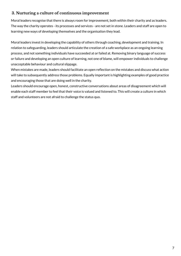#### **3. Nurturing a culture of continuous improvement**

Moral leaders recognise that there is always room for improvement, both within their charity and as leaders. The way the charity operates - its processes and services - are not set in stone. Leaders and staff are open to learning new ways of developing themselves and the organisation they lead.

Moral leaders invest in developing the capability of others through coaching, development and training. In relation to safeguarding, leaders should articulate the creation of a safe workplace as an ongoing learning process, and not something individuals have succeeded at or failed at. Removing binary language of success or failure and developing an open culture of learning, not one of blame, will empower individuals to challenge unacceptable behaviour and cultural slippage.

When mistakes are made, leaders should facilitate an open reflection on the mistakes and discuss what action will take to subsequently address those problems. Equally important is highlighting examples of good practice and encouraging those that are doing well in the charity.

Leaders should encourage open, honest, constructive conversations about areas of disagreement which will enable each staff member to feel that their voice is valued and listened to. This will create a culture in which staff and volunteers are not afraid to challenge the status quo.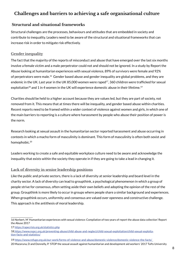## **Challenges and barriers to achieving a safe organisational culture**

#### **Structural and situational frameworks**

Structural challenges are the processes, behaviours and attitudes that are embedded in society and contribute to inequality. Leaders need to be aware of the structural and situational frameworks that can increase risk in order to mitigate risk effectively.

#### **Gender inequality**

The fact that the majority of the reports of misconduct and abuse that have emerged over the last six months involve a female victim and a male perpetrator could not and should not be ignored. In a study by Report the Abuse looking at humanitarian experiences with sexual violence, 89% of survivors were female and 92% of perpetrators were male.<sup>16</sup> Gender based abuse and gender inequality are global problems, and they are endemic in the UK. Last year in the UK 85,000 women were raped<sup>17</sup>, 360 children were trafficked for sexual exploitation<sup>18</sup> and 1 in 4 women in the UK will experience domestic abuse in their lifetime.<sup>19</sup>

Charities should be held to a higher account because they are values led, but they are part of society, not removed from it. This means that at times there will be inequality, and gender based abuse within charities. Recent reports need to be framed within a wider context of violence against women and girls, in which one of the main barriers to reporting is a culture where harassment by people who abuse their position of power is the norm.

Research looking at sexual assault in the humanitarian sector reported harassment and abuse occurring in contexts in which a macho form of masculinity is dominant. This form of masculinity is often both sexist and homophobic.20

Leaders working to create a safe and equitable workplace culture need to be aware and acknowledge the inequality that exists within the society they operate in if they are going to take a lead in changing it.

#### **Lack of diversity in senior leadership positions**

Like the public and private sectors, there is a lack of diversity at senior leadership and board level in the charity sector. A lack of diversity can lead to groupthink, a psychological phenomenon in which a group of people strive for consensus, often setting aside their own beliefs and adopting the opinion of the rest of the group. Groupthink is more likely to occur in groups where people share a similar background and experiences. When groupthink occurs, uniformity and consensus are valued over openness and constructive challenge. This approach is the antithesis of moral leadership.

17 [https://rapecrisis.org.uk/statistics.php](https://rapecrisis.org.uk/statistics.php%20)

19 [https://www.refuge.org.uk/our-work/forms-of-violence-and-abuse/domestic-violence/domestic-violence-the-facts/](https://www.refuge.org.uk/our-work/forms-of-violence-and-abuse/domestic-violence/domestic-violence-the-facts/%20)

<sup>16</sup> Norbert, M 'Humanitarian experiences with sexual violence: Compilation of two years of report the abuse data collection' Report the Abuse 2017

<sup>18</sup> [https://www.nspcc.org.uk/preventing-abuse/child-abuse-and-neglect/child-sexual-exploitation/child-sexual-exploita](https://www.nspcc.org.uk/preventing-abuse/child-abuse-and-neglect/child-sexual-exploitation/child-sexual-exploitation-facts-and-statistics/)[tion-facts-and-statistics/](https://www.nspcc.org.uk/preventing-abuse/child-abuse-and-neglect/child-sexual-exploitation/child-sexual-exploitation-facts-and-statistics/)

<sup>20</sup> Mazaruna, D and Donnelly, P. 'STOP the sexual assault against humanitarian and development aid workers' 2017 Tufts University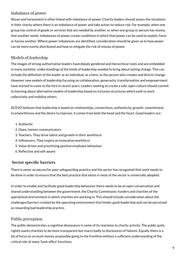#### **Imbalance of power**

Abuse and harassment is often linked with imbalance of power. Charity leaders should assess the situations in their charity where there is an imbalance of power and take action to reduce risk. For example, when one group has control of goods or services that are needed by another, or when one group or person has money that another needs. Imbalances of power create conditions in which that power can be used to exploit, harm or harass another. Where power imbalances are identified, consideration should be given as to how power can be more evenly distributed and how to mitigate the risk of misuse of power.

#### **Models of leadership**

The images of strong authoritative leaders have deeply gendered and hierarchical roots and are embedded in many societies' understandings of the kinds of leadership needed to bring about lasting change. This can include the definition of the leader as an individual, as a hero, as the person who creates and directs change. However new models of leadership focusing on collaboration, generosity, transformation and empowerment have started to come to the fore in recent years. Leaders seeking to create a safe, open culture should commit to learning about alternative models of leadership based on inclusive structures which seek to work collectively and mobilise others.

ACEVO believes that leadership is based on relationships, connections, authenticity, growth, commitment, trustworthiness and the desire to improve; it comes from both the head and the heart. Good leaders are:

- 1. Authentic
- 2. Open, honest communicators
- 3. Teachers. They drive talent and growth in their workforce
- 4. Influencers. They inspire an innovative workforce
- 5. Value driven and prioritising positive employee behaviour
- 6. Reflective and self-aware

#### **Sector specific barriers**

There is never an excuse for poor safeguarding practice and the sector has recognised that work needs to be done in order to ensure that the best practice that exists in most of the sector is universally adopted.

In order to enable and facilitate good leadership behaviour there needs to be an open conversation and shared understanding between the government, the Charity Commission, funders and charities of the operational environment in which charities are working in. This should include consideration about the challenges/barriers created by the operating environment that hinder good leadership and can be perceived as rewarding bad leadership practice.

#### **Public perception**

The public demonstrates a cognitive dissonance in some of its reactions to charity activity. The public quite rightly wants charities to be more transparent but reacts badly to disclosures of failures. Equally there is a lot of focus on as much money as possible going to the frontline without a sufficient understanding of the critical role of many 'back office' functions.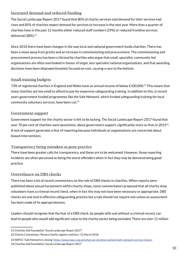#### **Increased demand and reduced funding**

The Social Landscape Report 2017 found that 80% of charity services said demand for their services had risen and 85% of charities expect demand for services to increase in the next year. More than a quarter of charities have in the past 12 months either reduced staff numbers (29%) or reduced frontline services delivered (28%).<sup>21</sup>

Since 2010 there have been changes in the way local and national government funds charities. There has been a move away from grants and an increase in commissioning and procurement. The commissioning and procurement process has been criticised by charities who argue that small, specialist, community led organisations are often overlooked in favour of larger, less specialist national organisations, and that awarding decisions have been disproportionately focused on cost, causing a race to the bottom.

#### **Small training budgets**

73% of registered charities in England and Wales have an annual income of below £100,000.22 This means that many charities are too small to afford to pay for expensive safeguarding training. In addition to this, in recent years government funded programmes like the Safe Network, which funded safeguarding training for local community voluntary services, have been cut.23

#### **Government support**

Government support for the charity sector is felt to be lacking. The Social Landscape Report 2017 found that over 70 per cent of charities were pessimistic about government support, significantly more so than in 2015<sup>24</sup>. A lack of support generates a fear of reporting because individuals or organisations are concerned about biased interventions.

#### **Transparency being mistaken as poor practice**

There have been greater calls for transparency, and these are to be welcomed. However, those reporting incidents are often perceived as being the worst offenders when in fact they may be demonstrating good practice.

#### **Overreliance on DBS checks**

There has been a lot of recent commentary on the role of DBS checks in charities. When reports were published about sexual harassment within charity shops, some commentators proposed that all charity shop volunteers have a criminal record check, when in fact this may not have been necessary or appropriate. DBS checks are one tool in effective safeguarding practice but a role should not require one unless an assessment has been made of its appropriateness.

Leaders should recognise that the fear of a DBS check, by people with and without a criminal record, can lead to people who would add significant value to the charity sector being excluded. There are over 11 million

<sup>21</sup> Charities Aid Foundation 'Social Landscape Report 2017'

<sup>22</sup> Charity Commission, 'Recent charity register statistics' 31 March 2018

<sup>23</sup> NSPCC 'Safe Network is closing' [https://www.nspcc.org.uk/what-we-do/news-opinion/safe-network-service-closes/](https://www.nspcc.org.uk/what-we-do/news-opinion/safe-network-service-closes/%09) 24 Charities Aid Foundation 'Social Landscape Report 2017'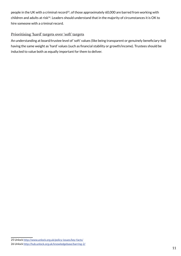people in the UK with a criminal record<sup>25</sup>, of those approximately 60,000 are barred from working with children and adults at risk<sup>26</sup>. Leaders should understand that in the majority of circumstances it is OK to hire someone with a criminal record.

#### **Prioritising 'hard' targets over 'soft' targets**

An understanding at board/trustee level of 'soft' values (like being transparent or genuinely beneficiary-led) having the same weight as 'hard' values (such as financial stability or growth/income). Trustees should be inducted to value both as equally important for them to deliver.

<sup>25</sup> Unlock [http://www.unlock.org.uk/policy-issues/key-facts/](http://www.unlock.org.uk/policy-issues/key-facts/%09)

<sup>26</sup> Unlock <http://hub.unlock.org.uk/knowledgebase/barring-2/>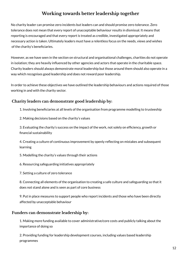## **Working towards better leadership together**

No charity leader can promise zero incidents but leaders can and should promise zero tolerance. Zero tolerance does not mean that every report of unacceptable behaviour results in dismissal. It means that reporting is encouraged and that every report is treated as credible, investigated appropriately and necessary action is taken. Ultimately leaders must have a relentless focus on the needs, views and wishes of the charity's beneficiaries.

However, as we have seen in the section on structural and organisational challenges, charities do not operate in isolation; they are heavily influenced by other agencies and actors that operate in the charitable space. Charity leaders should always demonstrate moral leadership but those around them should also operate in a way which recognises good leadership and does not reward poor leadership.

In order to achieve these objectives we have outlined the leadership behaviours and actions required of those working in and with the charity sector.

#### **Charity leaders can demonstrate good leadership by:**

1. Involving beneficiaries at all levels of the organisation from programme modelling to trusteeship

2. Making decisions based on the charity's values

3. Evaluating the charity's success on the impact of the work, not solely on efficiency, growth or financial sustainability

4. Creating a culture of continuous improvement by openly reflecting on mistakes and subsequent learning

5. Modelling the charity's values through their actions

6. Resourcing safeguarding initiatives appropriately

7. Setting a culture of zero tolerance

8. Connecting all elements of the organisation to creating a safe culture and safeguarding so that it does not stand alone and is seen as part of core business

9. Put in place measures to support people who report incidents and those who have been directly affected by unacceptable behaviour

#### **Funders can demonstrate leadership by:**

1. Making more funding available to cover administrative/core costs and publicly talking about the importance of doing so

2. Providing funding for leadership development courses, including values based leadership programmes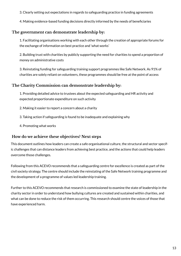3. Clearly setting out expectations in regards to safeguarding practice in funding agreements

4. Making evidence-based funding decisions directly informed by the needs of beneficiaries

#### **The government can demonstrate leadership by:**

1. Facilitating organisations working with each other through the creation of appropriate forums for the exchange of information on best practice and 'what works'

2. Building trust with charities by publicly supporting the need for charities to spend a proportion of money on administrative costs

3. Reinstating funding for safeguarding training support programmes like Safe Network. As 91% of charities are solely reliant on volunteers, these programmes should be free at the point of access

#### **The Charity Commission can demonstrate leadership by:**

1. Providing detailed advice to trustees about the expected safeguarding and HR activity and expected proportionate expenditure on such activity

- 2. Making it easier to report a concern about a charity
- 3. Taking action if safeguarding is found to be inadequate and explaining why
- 4. Promoting what works

#### **How do we achieve these objectives? Next steps**

This document outlines how leaders can create a safe organisational culture, the structural and sector specific challenges that can distance leaders from achieving best practice, and the actions that could help leaders overcome those challenges.

Following from this ACEVO recommends that a safeguarding centre for excellence is created as part of the civil society strategy. The centre should include the reinstating of the Safe Network training programme and the development of a programme of values led leadership training.

Further to this ACEVO recommends that research is commissioned to examine the state of leadership in the charity sector in order to understand how bullying cultures are created and sustained within charities, and what can be done to reduce the risk of them occurring. This research should centre the voices of those that have experienced harm.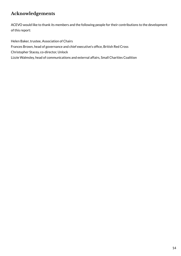## **Acknowledgements**

ACEVO would like to thank its members and the following people for their contributions to the development of this report:

Helen Baker, trustee, Association of Chairs Frances Brown, head of governance and chief executive's office, British Red Cross Christopher Stacey, co-director, Unlock Lizzie Walmsley, head of communications and external affairs, Small Charities Coalition